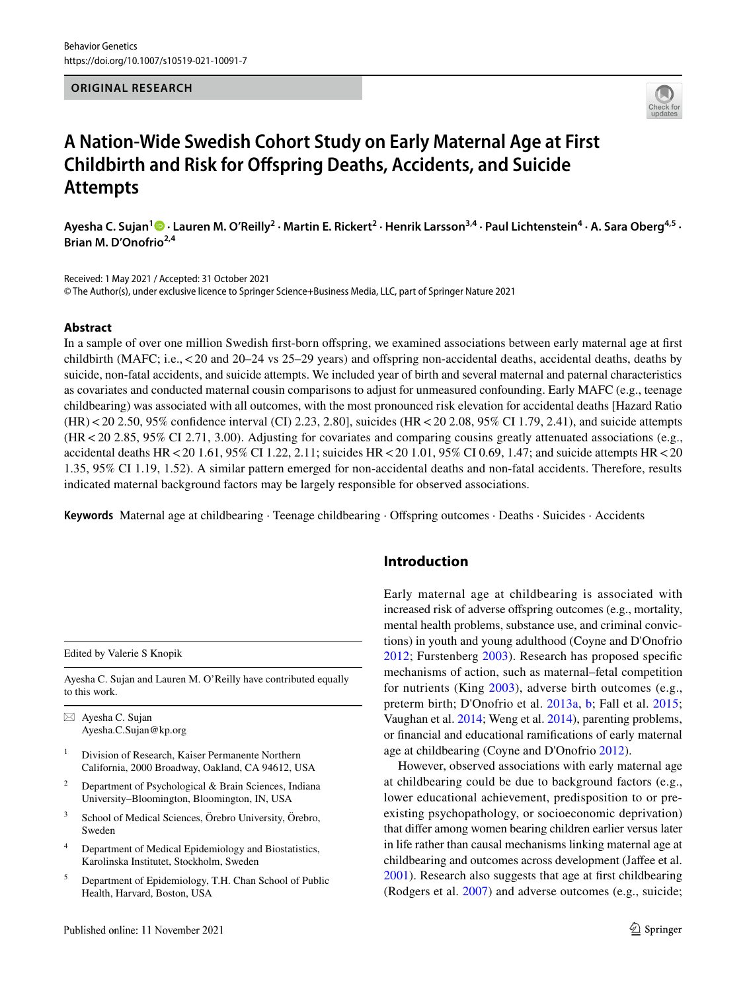## **ORIGINAL RESEARCH**



# **A Nation‑Wide Swedish Cohort Study on Early Maternal Age at First Childbirth and Risk for Offspring Deaths, Accidents, and Suicide Attempts**

AyeshaC. Sujan<sup>1</sup>® · Lauren M. O'Reilly<sup>2</sup> · Martin E. Rickert<sup>2</sup> · Henrik Larsson<sup>3,4</sup> · Paul Lichtenstein<sup>4</sup> · A. Sara Oberg<sup>4,5</sup> · **Brian M. D'Onofrio2,4**

Received: 1 May 2021 / Accepted: 31 October 2021 © The Author(s), under exclusive licence to Springer Science+Business Media, LLC, part of Springer Nature 2021

## **Abstract**

In a sample of over one million Swedish first-born offspring, we examined associations between early maternal age at first childbirth (MAFC; i.e., < 20 and 20–24 vs 25–29 years) and offspring non-accidental deaths, accidental deaths, deaths by suicide, non-fatal accidents, and suicide attempts. We included year of birth and several maternal and paternal characteristics as covariates and conducted maternal cousin comparisons to adjust for unmeasured confounding. Early MAFC (e.g., teenage childbearing) was associated with all outcomes, with the most pronounced risk elevation for accidental deaths [Hazard Ratio (HR) < 20 2.50, 95% confidence interval (CI) 2.23, 2.80], suicides (HR < 20 2.08, 95% CI 1.79, 2.41), and suicide attempts (HR < 20 2.85, 95% CI 2.71, 3.00). Adjusting for covariates and comparing cousins greatly attenuated associations (e.g., accidental deaths HR < 20 1.61, 95% CI 1.22, 2.11; suicides HR < 20 1.01, 95% CI 0.69, 1.47; and suicide attempts HR < 20 1.35, 95% CI 1.19, 1.52). A similar pattern emerged for non-accidental deaths and non-fatal accidents. Therefore, results indicated maternal background factors may be largely responsible for observed associations.

**Keywords** Maternal age at childbearing · Teenage childbearing · Offspring outcomes · Deaths · Suicides · Accidents

Edited by Valerie S Knopik

Ayesha C. Sujan and Lauren M. O'Reilly have contributed equally to this work.

 $\boxtimes$  Ayesha C. Sujan Ayesha.C.Sujan@kp.org

- 1 Division of Research, Kaiser Permanente Northern California, 2000 Broadway, Oakland, CA 94612, USA
- 2 Department of Psychological & Brain Sciences, Indiana University–Bloomington, Bloomington, IN, USA
- 3 School of Medical Sciences, Örebro University, Örebro, Sweden
- 4 Department of Medical Epidemiology and Biostatistics, Karolinska Institutet, Stockholm, Sweden
- 5 Department of Epidemiology, T.H. Chan School of Public Health, Harvard, Boston, USA

# **Introduction**

Early maternal age at childbearing is associated with increased risk of adverse offspring outcomes (e.g., mortality, mental health problems, substance use, and criminal convictions) in youth and young adulthood (Coyne and D'Onofrio [2012;](#page-7-0) Furstenberg [2003](#page-8-0)). Research has proposed specific mechanisms of action, such as maternal–fetal competition for nutrients (King [2003\)](#page-8-1), adverse birth outcomes (e.g., preterm birth; D'Onofrio et al. [2013a](#page-8-2), [b](#page-8-3); Fall et al. [2015](#page-8-4); Vaughan et al. [2014;](#page-9-0) Weng et al. [2014\)](#page-9-1), parenting problems, or financial and educational ramifications of early maternal age at childbearing (Coyne and D'Onofrio [2012](#page-7-0)).

However, observed associations with early maternal age at childbearing could be due to background factors (e.g., lower educational achievement, predisposition to or preexisting psychopathology, or socioeconomic deprivation) that differ among women bearing children earlier versus later in life rather than causal mechanisms linking maternal age at childbearing and outcomes across development (Jaffee et al. [2001](#page-8-5)). Research also suggests that age at first childbearing (Rodgers et al. [2007](#page-8-6)) and adverse outcomes (e.g., suicide;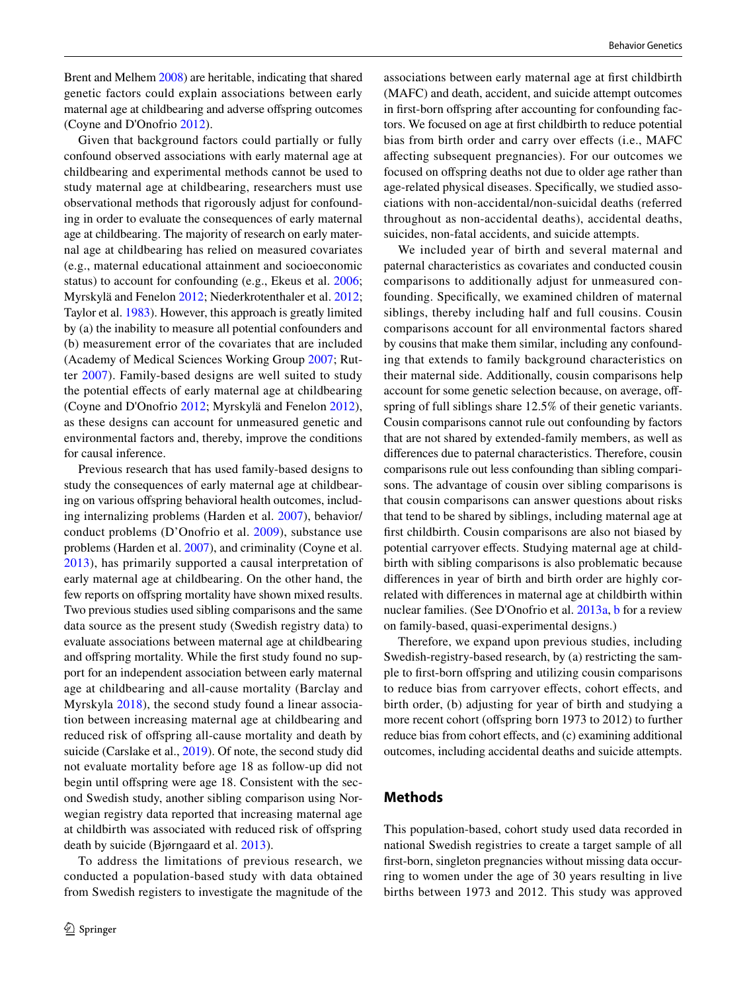Brent and Melhem [2008](#page-7-1)) are heritable, indicating that shared genetic factors could explain associations between early maternal age at childbearing and adverse offspring outcomes (Coyne and D'Onofrio [2012\)](#page-7-0).

Given that background factors could partially or fully confound observed associations with early maternal age at childbearing and experimental methods cannot be used to study maternal age at childbearing, researchers must use observational methods that rigorously adjust for confounding in order to evaluate the consequences of early maternal age at childbearing. The majority of research on early maternal age at childbearing has relied on measured covariates (e.g., maternal educational attainment and socioeconomic status) to account for confounding (e.g., Ekeus et al. [2006](#page-8-7); Myrskylä and Fenelon [2012](#page-8-8); Niederkrotenthaler et al. [2012](#page-8-9); Taylor et al. [1983\)](#page-9-2). However, this approach is greatly limited by (a) the inability to measure all potential confounders and (b) measurement error of the covariates that are included (Academy of Medical Sciences Working Group [2007;](#page-7-2) Rutter [2007](#page-9-3)). Family-based designs are well suited to study the potential effects of early maternal age at childbearing (Coyne and D'Onofrio [2012](#page-7-0); Myrskylä and Fenelon [2012](#page-8-8)), as these designs can account for unmeasured genetic and environmental factors and, thereby, improve the conditions for causal inference.

Previous research that has used family-based designs to study the consequences of early maternal age at childbearing on various offspring behavioral health outcomes, including internalizing problems (Harden et al. [2007\)](#page-8-10), behavior/ conduct problems (D'Onofrio et al. [2009\)](#page-8-11), substance use problems (Harden et al. [2007](#page-8-10)), and criminality (Coyne et al. [2013\)](#page-8-12), has primarily supported a causal interpretation of early maternal age at childbearing. On the other hand, the few reports on offspring mortality have shown mixed results. Two previous studies used sibling comparisons and the same data source as the present study (Swedish registry data) to evaluate associations between maternal age at childbearing and offspring mortality. While the first study found no support for an independent association between early maternal age at childbearing and all-cause mortality (Barclay and Myrskyla [2018\)](#page-7-3), the second study found a linear association between increasing maternal age at childbearing and reduced risk of offspring all-cause mortality and death by suicide (Carslake et al., [2019\)](#page-7-4). Of note, the second study did not evaluate mortality before age 18 as follow-up did not begin until offspring were age 18. Consistent with the second Swedish study, another sibling comparison using Norwegian registry data reported that increasing maternal age at childbirth was associated with reduced risk of offspring death by suicide (Bjørngaard et al. [2013](#page-7-5)).

To address the limitations of previous research, we conducted a population-based study with data obtained from Swedish registers to investigate the magnitude of the associations between early maternal age at first childbirth (MAFC) and death, accident, and suicide attempt outcomes in first-born offspring after accounting for confounding factors. We focused on age at first childbirth to reduce potential bias from birth order and carry over effects (i.e., MAFC affecting subsequent pregnancies). For our outcomes we focused on offspring deaths not due to older age rather than age-related physical diseases. Specifically, we studied associations with non-accidental/non-suicidal deaths (referred throughout as non-accidental deaths), accidental deaths, suicides, non-fatal accidents, and suicide attempts.

We included year of birth and several maternal and paternal characteristics as covariates and conducted cousin comparisons to additionally adjust for unmeasured confounding. Specifically, we examined children of maternal siblings, thereby including half and full cousins. Cousin comparisons account for all environmental factors shared by cousins that make them similar, including any confounding that extends to family background characteristics on their maternal side. Additionally, cousin comparisons help account for some genetic selection because, on average, offspring of full siblings share 12.5% of their genetic variants. Cousin comparisons cannot rule out confounding by factors that are not shared by extended-family members, as well as differences due to paternal characteristics. Therefore, cousin comparisons rule out less confounding than sibling comparisons. The advantage of cousin over sibling comparisons is that cousin comparisons can answer questions about risks that tend to be shared by siblings, including maternal age at first childbirth. Cousin comparisons are also not biased by potential carryover effects. Studying maternal age at childbirth with sibling comparisons is also problematic because differences in year of birth and birth order are highly correlated with differences in maternal age at childbirth within nuclear families. (See D'Onofrio et al. [2013a,](#page-8-2) [b](#page-8-3) for a review on family-based, quasi-experimental designs.)

Therefore, we expand upon previous studies, including Swedish-registry-based research, by (a) restricting the sample to first-born offspring and utilizing cousin comparisons to reduce bias from carryover effects, cohort effects, and birth order, (b) adjusting for year of birth and studying a more recent cohort (offspring born 1973 to 2012) to further reduce bias from cohort effects, and (c) examining additional outcomes, including accidental deaths and suicide attempts.

## **Methods**

This population-based, cohort study used data recorded in national Swedish registries to create a target sample of all first-born, singleton pregnancies without missing data occurring to women under the age of 30 years resulting in live births between 1973 and 2012. This study was approved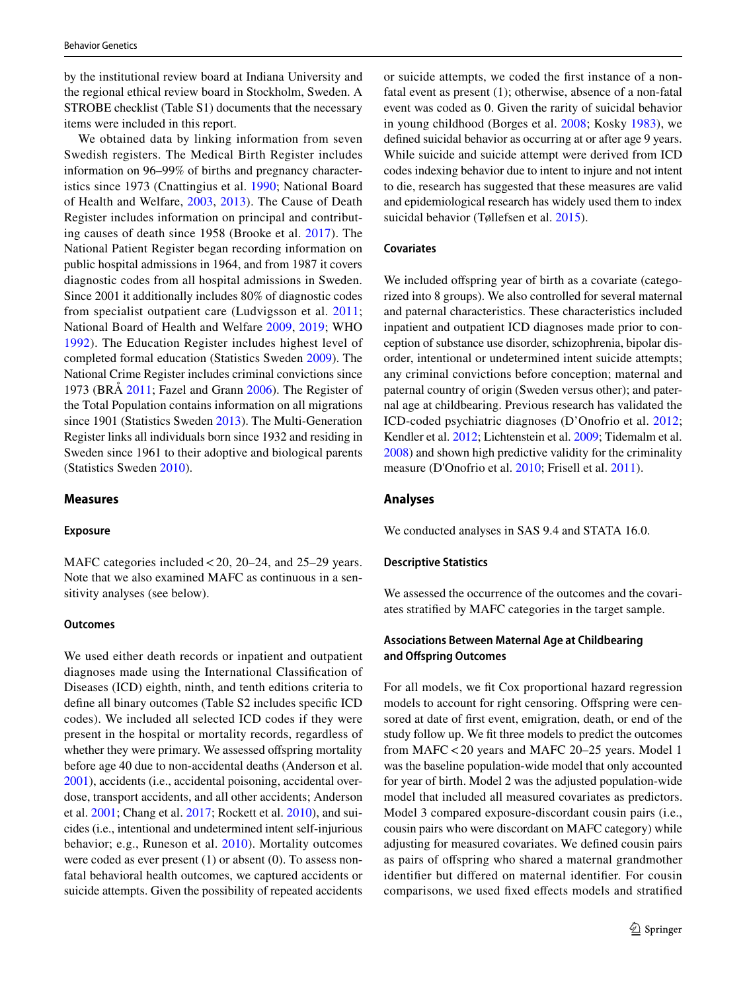by the institutional review board at Indiana University and the regional ethical review board in Stockholm, Sweden. A STROBE checklist (Table S1) documents that the necessary items were included in this report.

We obtained data by linking information from seven Swedish registers. The Medical Birth Register includes information on 96–99% of births and pregnancy characteristics since 1973 (Cnattingius et al. [1990](#page-7-6); National Board of Health and Welfare, [2003](#page-8-13), [2013](#page-8-14)). The Cause of Death Register includes information on principal and contributing causes of death since 1958 (Brooke et al. [2017](#page-7-7)). The National Patient Register began recording information on public hospital admissions in 1964, and from 1987 it covers diagnostic codes from all hospital admissions in Sweden. Since 2001 it additionally includes 80% of diagnostic codes from specialist outpatient care (Ludvigsson et al. [2011](#page-8-15); National Board of Health and Welfare [2009](#page-8-16), [2019](#page-8-17); WHO [1992\)](#page-9-4). The Education Register includes highest level of completed formal education (Statistics Sweden [2009\)](#page-9-5). The National Crime Register includes criminal convictions since 1973 (BRÅ [2011](#page-7-8); Fazel and Grann [2006](#page-8-18)). The Register of the Total Population contains information on all migrations since 1901 (Statistics Sweden [2013\)](#page-9-6). The Multi-Generation Register links all individuals born since 1932 and residing in Sweden since 1961 to their adoptive and biological parents (Statistics Sweden [2010\)](#page-9-7).

## **Measures**

#### **Exposure**

MAFC categories included < 20, 20–24, and 25–29 years. Note that we also examined MAFC as continuous in a sensitivity analyses (see below).

## **Outcomes**

We used either death records or inpatient and outpatient diagnoses made using the International Classification of Diseases (ICD) eighth, ninth, and tenth editions criteria to define all binary outcomes (Table S2 includes specific ICD codes). We included all selected ICD codes if they were present in the hospital or mortality records, regardless of whether they were primary. We assessed offspring mortality before age 40 due to non-accidental deaths (Anderson et al. [2001](#page-7-9)), accidents (i.e., accidental poisoning, accidental overdose, transport accidents, and all other accidents; Anderson et al. [2001;](#page-7-9) Chang et al. [2017;](#page-7-10) Rockett et al. [2010\)](#page-8-19), and suicides (i.e., intentional and undetermined intent self-injurious behavior; e.g., Runeson et al. [2010\)](#page-8-20). Mortality outcomes were coded as ever present (1) or absent (0). To assess nonfatal behavioral health outcomes, we captured accidents or suicide attempts. Given the possibility of repeated accidents or suicide attempts, we coded the first instance of a nonfatal event as present (1); otherwise, absence of a non-fatal event was coded as 0. Given the rarity of suicidal behavior in young childhood (Borges et al. [2008;](#page-7-11) Kosky [1983\)](#page-8-21), we defined suicidal behavior as occurring at or after age 9 years. While suicide and suicide attempt were derived from ICD codes indexing behavior due to intent to injure and not intent to die, research has suggested that these measures are valid and epidemiological research has widely used them to index suicidal behavior (Tøllefsen et al. [2015](#page-9-8)).

#### **Covariates**

We included offspring year of birth as a covariate (categorized into 8 groups). We also controlled for several maternal and paternal characteristics. These characteristics included inpatient and outpatient ICD diagnoses made prior to conception of substance use disorder, schizophrenia, bipolar disorder, intentional or undetermined intent suicide attempts; any criminal convictions before conception; maternal and paternal country of origin (Sweden versus other); and paternal age at childbearing. Previous research has validated the ICD-coded psychiatric diagnoses (D'Onofrio et al. [2012](#page-8-22); Kendler et al. [2012;](#page-8-23) Lichtenstein et al. [2009;](#page-8-24) Tidemalm et al. [2008](#page-9-9)) and shown high predictive validity for the criminality measure (D'Onofrio et al. [2010](#page-8-25); Frisell et al. [2011](#page-8-26)).

## **Analyses**

We conducted analyses in SAS 9.4 and STATA 16.0.

## **Descriptive Statistics**

We assessed the occurrence of the outcomes and the covariates stratified by MAFC categories in the target sample.

# **Associations Between Maternal Age at Childbearing and Offspring Outcomes**

For all models, we fit Cox proportional hazard regression models to account for right censoring. Offspring were censored at date of first event, emigration, death, or end of the study follow up. We fit three models to predict the outcomes from MAFC < 20 years and MAFC 20–25 years. Model 1 was the baseline population-wide model that only accounted for year of birth. Model 2 was the adjusted population-wide model that included all measured covariates as predictors. Model 3 compared exposure-discordant cousin pairs (i.e., cousin pairs who were discordant on MAFC category) while adjusting for measured covariates. We defined cousin pairs as pairs of offspring who shared a maternal grandmother identifier but differed on maternal identifier. For cousin comparisons, we used fixed effects models and stratified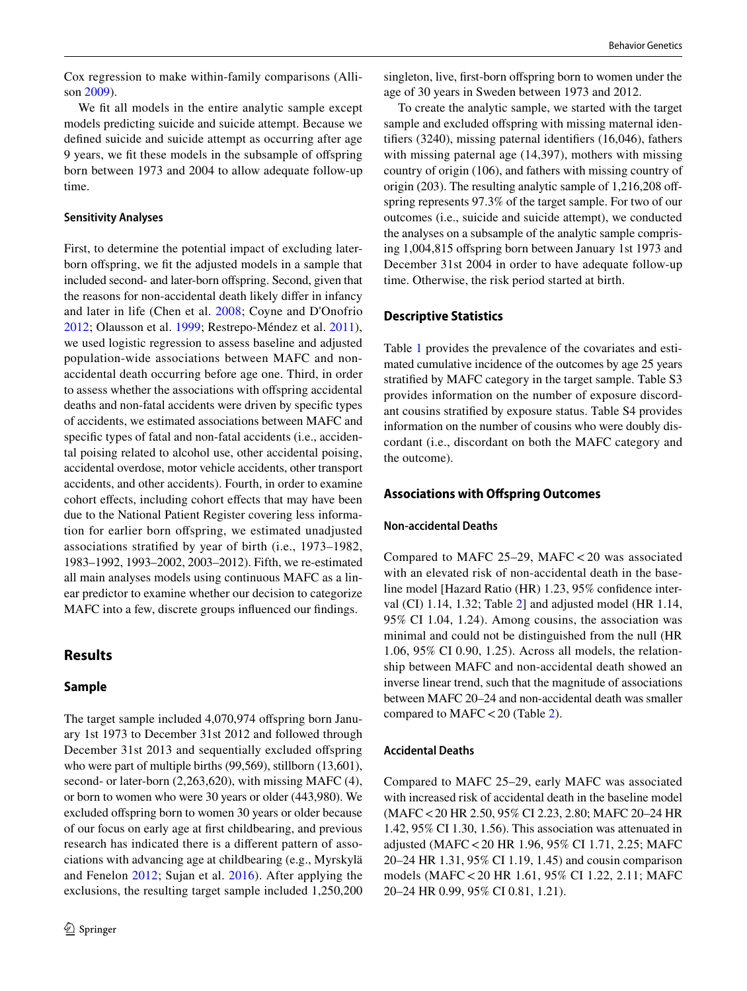Cox regression to make within-family comparisons (Allison [2009\)](#page-7-12).

We fit all models in the entire analytic sample except models predicting suicide and suicide attempt. Because we defined suicide and suicide attempt as occurring after age 9 years, we fit these models in the subsample of offspring born between 1973 and 2004 to allow adequate follow-up time.

## **Sensitivity Analyses**

First, to determine the potential impact of excluding laterborn offspring, we fit the adjusted models in a sample that included second- and later-born offspring. Second, given that the reasons for non-accidental death likely differ in infancy and later in life (Chen et al. [2008;](#page-7-13) Coyne and D'Onofrio [2012](#page-7-0); Olausson et al. [1999](#page-8-27); Restrepo-Méndez et al. [2011](#page-8-28)), we used logistic regression to assess baseline and adjusted population-wide associations between MAFC and nonaccidental death occurring before age one. Third, in order to assess whether the associations with offspring accidental deaths and non-fatal accidents were driven by specific types of accidents, we estimated associations between MAFC and specific types of fatal and non-fatal accidents (i.e., accidental poising related to alcohol use, other accidental poising, accidental overdose, motor vehicle accidents, other transport accidents, and other accidents). Fourth, in order to examine cohort effects, including cohort effects that may have been due to the National Patient Register covering less information for earlier born offspring, we estimated unadjusted associations stratified by year of birth (i.e., 1973–1982, 1983–1992, 1993–2002, 2003–2012). Fifth, we re-estimated all main analyses models using continuous MAFC as a linear predictor to examine whether our decision to categorize MAFC into a few, discrete groups influenced our findings.

# **Results**

## **Sample**

The target sample included 4,070,974 offspring born January 1st 1973 to December 31st 2012 and followed through December 31st 2013 and sequentially excluded offspring who were part of multiple births (99,569), stillborn (13,601), second- or later-born (2,263,620), with missing MAFC (4), or born to women who were 30 years or older (443,980). We excluded offspring born to women 30 years or older because of our focus on early age at first childbearing, and previous research has indicated there is a different pattern of associations with advancing age at childbearing (e.g., Myrskylä and Fenelon [2012](#page-8-8); Sujan et al. [2016](#page-9-10)). After applying the exclusions, the resulting target sample included 1,250,200 singleton, live, first-born offspring born to women under the age of 30 years in Sweden between 1973 and 2012.

To create the analytic sample, we started with the target sample and excluded offspring with missing maternal identifiers (3240), missing paternal identifiers (16,046), fathers with missing paternal age (14,397), mothers with missing country of origin (106), and fathers with missing country of origin (203). The resulting analytic sample of 1,216,208 offspring represents 97.3% of the target sample. For two of our outcomes (i.e., suicide and suicide attempt), we conducted the analyses on a subsample of the analytic sample comprising 1,004,815 offspring born between January 1st 1973 and December 31st 2004 in order to have adequate follow-up time. Otherwise, the risk period started at birth.

## **Descriptive Statistics**

Table [1](#page-4-0) provides the prevalence of the covariates and estimated cumulative incidence of the outcomes by age 25 years stratified by MAFC category in the target sample. Table S3 provides information on the number of exposure discordant cousins stratified by exposure status. Table S4 provides information on the number of cousins who were doubly discordant (i.e., discordant on both the MAFC category and the outcome).

### **Associations with Offspring Outcomes**

#### **Non‑accidental Deaths**

Compared to MAFC 25–29, MAFC < 20 was associated with an elevated risk of non-accidental death in the baseline model [Hazard Ratio (HR) 1.23, 95% confidence interval (CI) 1.14, 1.32; Table [2\]](#page-5-0) and adjusted model (HR 1.14, 95% CI 1.04, 1.24). Among cousins, the association was minimal and could not be distinguished from the null (HR 1.06, 95% CI 0.90, 1.25). Across all models, the relationship between MAFC and non-accidental death showed an inverse linear trend, such that the magnitude of associations between MAFC 20–24 and non-accidental death was smaller compared to MAFC < 20 (Table [2\)](#page-5-0).

#### **Accidental Deaths**

Compared to MAFC 25–29, early MAFC was associated with increased risk of accidental death in the baseline model (MAFC < 20 HR 2.50, 95% CI 2.23, 2.80; MAFC 20–24 HR 1.42, 95% CI 1.30, 1.56). This association was attenuated in adjusted (MAFC < 20 HR 1.96, 95% CI 1.71, 2.25; MAFC 20–24 HR 1.31, 95% CI 1.19, 1.45) and cousin comparison models (MAFC < 20 HR 1.61, 95% CI 1.22, 2.11; MAFC 20–24 HR 0.99, 95% CI 0.81, 1.21).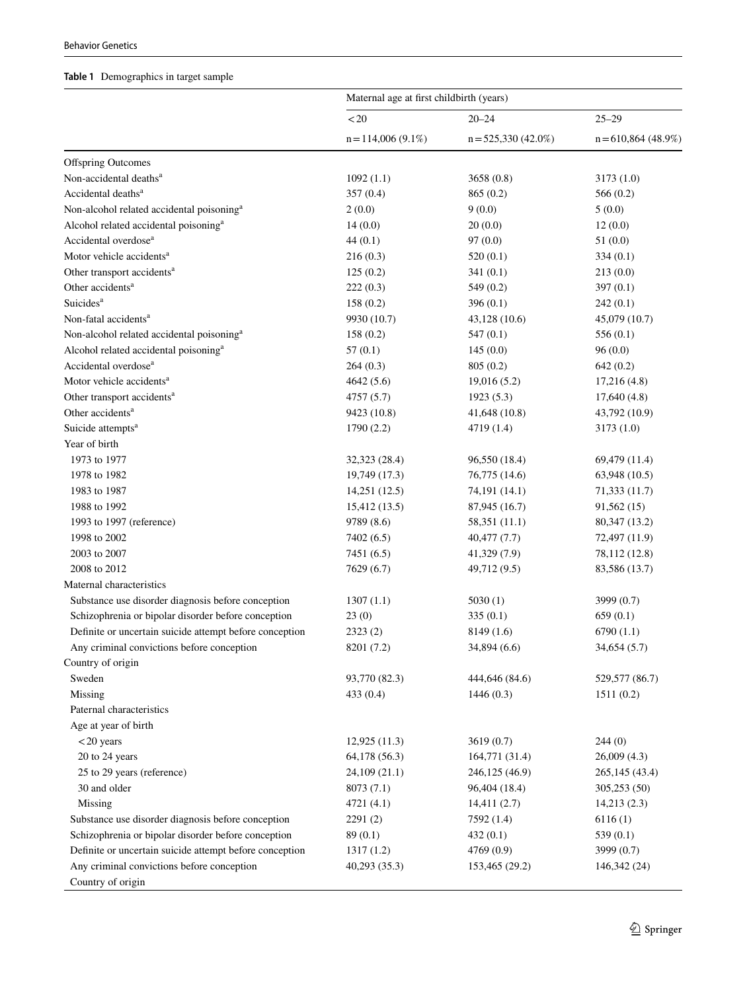# <span id="page-4-0"></span>**Table 1** Demographics in target sample

|                                                         | Maternal age at first childbirth (years) |                       |                      |  |
|---------------------------------------------------------|------------------------------------------|-----------------------|----------------------|--|
|                                                         | $<\!20$                                  | $20 - 24$             | $25 - 29$            |  |
|                                                         | $n = 114,006(9.1\%)$                     | $n = 525,330(42.0\%)$ | $n = 610,864(48.9%)$ |  |
| <b>Offspring Outcomes</b>                               |                                          |                       |                      |  |
| Non-accidental deaths <sup>a</sup>                      | 1092(1.1)                                | 3658 (0.8)            | 3173 (1.0)           |  |
| Accidental deaths <sup>a</sup>                          | 357(0.4)                                 | 865(0.2)              | 566 $(0.2)$          |  |
| Non-alcohol related accidental poisoning <sup>a</sup>   | 2(0.0)                                   | 9(0.0)                | 5(0.0)               |  |
| Alcohol related accidental poisoning <sup>a</sup>       | 14(0.0)                                  | 20(0.0)               | 12(0.0)              |  |
| Accidental overdose <sup>a</sup>                        | 44(0.1)                                  | 97(0.0)               | 51(0.0)              |  |
| Motor vehicle accidents <sup>a</sup>                    | 216(0.3)                                 | 520(0.1)              | 334(0.1)             |  |
| Other transport accidents <sup>a</sup>                  | 125(0.2)                                 | 341(0.1)              | 213(0.0)             |  |
| Other accidents <sup>a</sup>                            | 222(0.3)                                 | 549 (0.2)             | 397(0.1)             |  |
| Suicides <sup>a</sup>                                   | 158(0.2)                                 | 396(0.1)              | 242(0.1)             |  |
| Non-fatal accidents <sup>a</sup>                        | 9930 (10.7)                              | 43,128 (10.6)         | 45,079 (10.7)        |  |
| Non-alcohol related accidental poisoning <sup>a</sup>   | 158(0.2)                                 | 547(0.1)              | 556 $(0.1)$          |  |
| Alcohol related accidental poisoning <sup>a</sup>       | 57(0.1)                                  | 145(0.0)              | 96(0.0)              |  |
| Accidental overdose <sup>a</sup>                        | 264(0.3)                                 | 805(0.2)              | 642(0.2)             |  |
| Motor vehicle accidents <sup>a</sup>                    | 4642 (5.6)                               | 19,016(5.2)           | 17,216(4.8)          |  |
| Other transport accidents <sup>a</sup>                  | 4757 (5.7)                               | 1923(5.3)             | 17,640(4.8)          |  |
| Other accidents <sup>a</sup>                            | 9423 (10.8)                              | 41,648 (10.8)         | 43,792 (10.9)        |  |
| Suicide attempts <sup>a</sup>                           | 1790(2.2)                                | 4719 (1.4)            | 3173(1.0)            |  |
| Year of birth                                           |                                          |                       |                      |  |
| 1973 to 1977                                            | 32,323 (28.4)                            | 96,550 (18.4)         | 69,479 (11.4)        |  |
| 1978 to 1982                                            | 19,749 (17.3)                            | 76,775 (14.6)         | 63,948 (10.5)        |  |
| 1983 to 1987                                            | 14,251 (12.5)                            | 74,191 (14.1)         | 71,333 (11.7)        |  |
| 1988 to 1992                                            | 15,412 (13.5)                            | 87,945 (16.7)         | 91,562(15)           |  |
| 1993 to 1997 (reference)                                | 9789 (8.6)                               | 58,351 (11.1)         | 80,347 (13.2)        |  |
| 1998 to 2002                                            | 7402 (6.5)                               | 40,477 (7.7)          | 72,497 (11.9)        |  |
| 2003 to 2007                                            | 7451 (6.5)                               | 41,329 (7.9)          | 78,112 (12.8)        |  |
| 2008 to 2012                                            | 7629(6.7)                                | 49,712 (9.5)          | 83,586 (13.7)        |  |
| Maternal characteristics                                |                                          |                       |                      |  |
| Substance use disorder diagnosis before conception      | 1307(1.1)                                | 5030(1)               | 3999 (0.7)           |  |
| Schizophrenia or bipolar disorder before conception     | 23(0)                                    | 335(0.1)              | 659(0.1)             |  |
| Definite or uncertain suicide attempt before conception | 2323(2)                                  | 8149 (1.6)            | 6790(1.1)            |  |
| Any criminal convictions before conception              | 8201 (7.2)                               | 34,894 (6.6)          | 34,654 (5.7)         |  |
| Country of origin                                       |                                          |                       |                      |  |
| Sweden                                                  | 93,770 (82.3)                            | 444,646 (84.6)        | 529,577 (86.7)       |  |
| Missing                                                 | 433(0.4)                                 | 1446(0.3)             | 1511(0.2)            |  |
| Paternal characteristics                                |                                          |                       |                      |  |
| Age at year of birth                                    |                                          |                       |                      |  |
| $<$ 20 years                                            | 12,925 (11.3)                            | 3619(0.7)             | 244(0)               |  |
| 20 to 24 years                                          | 64,178 (56.3)                            | 164,771 (31.4)        | 26,009(4.3)          |  |
| 25 to 29 years (reference)                              | 24,109 (21.1)                            | 246,125 (46.9)        | 265, 145 (43.4)      |  |
| 30 and older                                            | 8073(7.1)                                | 96,404 (18.4)         | 305,253 (50)         |  |
| Missing                                                 | 4721 (4.1)                               | 14,411(2.7)           | 14,213(2.3)          |  |
| Substance use disorder diagnosis before conception      | 2291(2)                                  | 7592 (1.4)            | 6116(1)              |  |
| Schizophrenia or bipolar disorder before conception     | 89(0.1)                                  | 432(0.1)              | 539 $(0.1)$          |  |
| Definite or uncertain suicide attempt before conception | 1317(1.2)                                | 4769 (0.9)            | 3999 (0.7)           |  |
| Any criminal convictions before conception              | 40,293 (35.3)                            | 153,465 (29.2)        | 146,342 (24)         |  |
| Country of origin                                       |                                          |                       |                      |  |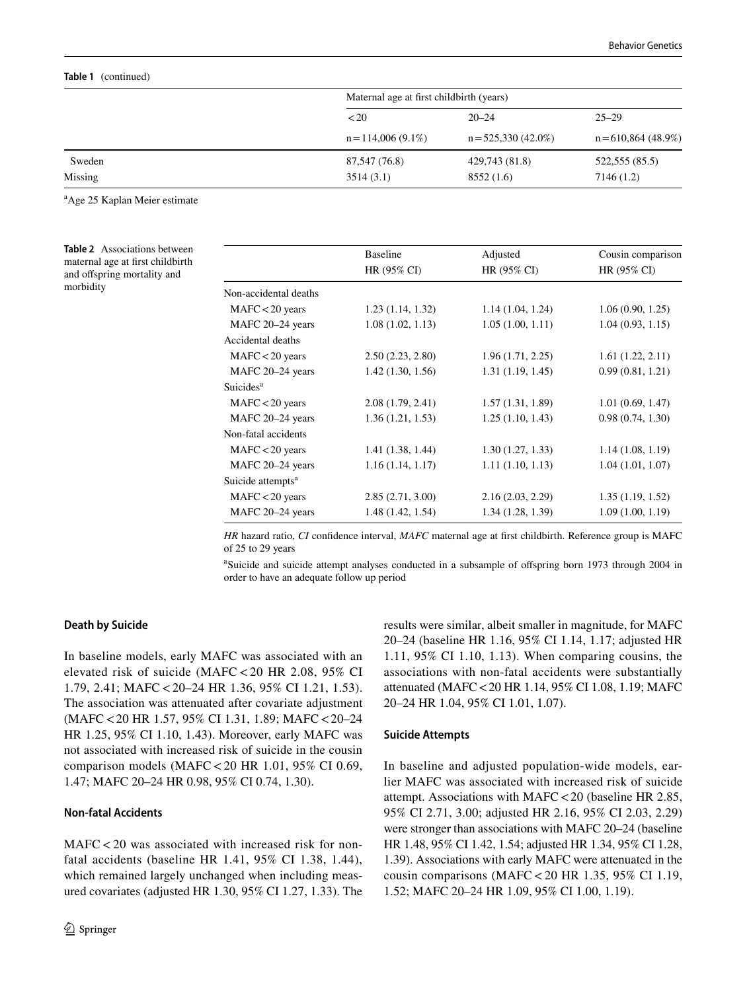#### **Table 1** (continued)

|         | Maternal age at first childbirth (years) |                       |                                   |  |
|---------|------------------------------------------|-----------------------|-----------------------------------|--|
|         | < 20                                     | $20 - 24$             | $25 - 29$<br>$n = 610,864(48.9%)$ |  |
|         | $n = 114,006(9.1\%)$                     | $n = 525,330(42.0\%)$ |                                   |  |
| Sweden  | 87,547 (76.8)                            | 429,743 (81.8)        | 522,555 (85.5)                    |  |
| Missing | 3514(3.1)                                | 8552 (1.6)            | 7146 (1.2)                        |  |

<sup>a</sup>Age 25 Kaplan Meier estimate

<span id="page-5-0"></span>**Table 2** Associations between maternal age at first childbirth and offspring mortality and morbidity

|                               | <b>Baseline</b>   | Adjusted         | Cousin comparison |
|-------------------------------|-------------------|------------------|-------------------|
|                               | HR (95% CI)       | HR (95% CI)      | HR (95% CI)       |
| Non-accidental deaths         |                   |                  |                   |
| $MAFC < 20$ years             | 1.23(1.14, 1.32)  | 1.14(1.04, 1.24) | 1.06(0.90, 1.25)  |
| MAFC 20-24 years              | 1.08(1.02, 1.13)  | 1.05(1.00, 1.11) | 1.04(0.93, 1.15)  |
| Accidental deaths             |                   |                  |                   |
| $MAFC < 20$ years             | 2.50(2.23, 2.80)  | 1.96(1.71, 2.25) | 1.61(1.22, 2.11)  |
| MAFC 20-24 years              | 1.42(1.30, 1.56)  | 1.31(1.19, 1.45) | 0.99(0.81, 1.21)  |
| Suicides <sup>a</sup>         |                   |                  |                   |
| $MAFC < 20$ years             | 2.08(1.79, 2.41)  | 1.57(1.31, 1.89) | 1.01(0.69, 1.47)  |
| MAFC 20-24 years              | 1.36(1.21, 1.53)  | 1.25(1.10, 1.43) | 0.98(0.74, 1.30)  |
| Non-fatal accidents           |                   |                  |                   |
| $MAFC < 20$ years             | 1.41(1.38, 1.44)  | 1.30(1.27, 1.33) | 1.14(1.08, 1.19)  |
| MAFC 20-24 years              | 1.16(1.14, 1.17)  | 1.11(1.10, 1.13) | 1.04(1.01, 1.07)  |
| Suicide attempts <sup>a</sup> |                   |                  |                   |
| $MAFC < 20$ years             | 2.85(2.71, 3.00)  | 2.16(2.03, 2.29) | 1.35(1.19, 1.52)  |
| MAFC 20-24 years              | 1.48 (1.42, 1.54) | 1.34(1.28, 1.39) | 1.09(1.00, 1.19)  |

*HR* hazard ratio, *CI* confidence interval, *MAFC* maternal age at first childbirth. Reference group is MAFC of 25 to 29 years

a Suicide and suicide attempt analyses conducted in a subsample of offspring born 1973 through 2004 in order to have an adequate follow up period

## **Death by Suicide**

In baseline models, early MAFC was associated with an elevated risk of suicide (MAFC < 20 HR 2.08, 95% CI 1.79, 2.41; MAFC < 20–24 HR 1.36, 95% CI 1.21, 1.53). The association was attenuated after covariate adjustment (MAFC < 20 HR 1.57, 95% CI 1.31, 1.89; MAFC < 20–24 HR 1.25, 95% CI 1.10, 1.43). Moreover, early MAFC was not associated with increased risk of suicide in the cousin comparison models (MAFC < 20 HR 1.01, 95% CI 0.69, 1.47; MAFC 20–24 HR 0.98, 95% CI 0.74, 1.30).

## **Non‑fatal Accidents**

MAFC < 20 was associated with increased risk for nonfatal accidents (baseline HR 1.41, 95% CI 1.38, 1.44), which remained largely unchanged when including measured covariates (adjusted HR 1.30, 95% CI 1.27, 1.33). The results were similar, albeit smaller in magnitude, for MAFC 20–24 (baseline HR 1.16, 95% CI 1.14, 1.17; adjusted HR 1.11, 95% CI 1.10, 1.13). When comparing cousins, the associations with non-fatal accidents were substantially attenuated (MAFC < 20 HR 1.14, 95% CI 1.08, 1.19; MAFC 20–24 HR 1.04, 95% CI 1.01, 1.07).

#### **Suicide Attempts**

In baseline and adjusted population-wide models, earlier MAFC was associated with increased risk of suicide attempt. Associations with MAFC < 20 (baseline HR 2.85, 95% CI 2.71, 3.00; adjusted HR 2.16, 95% CI 2.03, 2.29) were stronger than associations with MAFC 20–24 (baseline HR 1.48, 95% CI 1.42, 1.54; adjusted HR 1.34, 95% CI 1.28, 1.39). Associations with early MAFC were attenuated in the cousin comparisons (MAFC < 20 HR 1.35, 95% CI 1.19, 1.52; MAFC 20–24 HR 1.09, 95% CI 1.00, 1.19).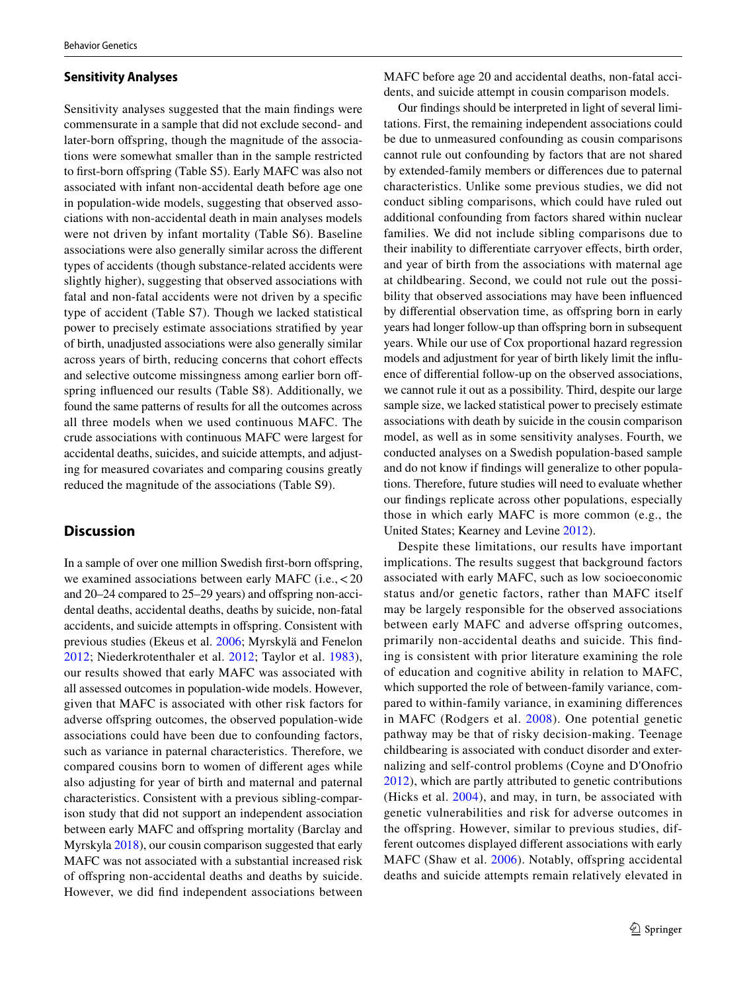#### **Sensitivity Analyses**

Sensitivity analyses suggested that the main findings were commensurate in a sample that did not exclude second- and later-born offspring, though the magnitude of the associations were somewhat smaller than in the sample restricted to first-born offspring (Table S5). Early MAFC was also not associated with infant non-accidental death before age one in population-wide models, suggesting that observed associations with non-accidental death in main analyses models were not driven by infant mortality (Table S6). Baseline associations were also generally similar across the different types of accidents (though substance-related accidents were slightly higher), suggesting that observed associations with fatal and non-fatal accidents were not driven by a specific type of accident (Table S7). Though we lacked statistical power to precisely estimate associations stratified by year of birth, unadjusted associations were also generally similar across years of birth, reducing concerns that cohort effects and selective outcome missingness among earlier born offspring influenced our results (Table S8). Additionally, we found the same patterns of results for all the outcomes across all three models when we used continuous MAFC. The crude associations with continuous MAFC were largest for accidental deaths, suicides, and suicide attempts, and adjusting for measured covariates and comparing cousins greatly reduced the magnitude of the associations (Table S9).

# **Discussion**

In a sample of over one million Swedish first-born offspring, we examined associations between early MAFC (i.e., < 20 and 20–24 compared to 25–29 years) and offspring non-accidental deaths, accidental deaths, deaths by suicide, non-fatal accidents, and suicide attempts in offspring. Consistent with previous studies (Ekeus et al. [2006;](#page-8-7) Myrskylä and Fenelon [2012;](#page-8-8) Niederkrotenthaler et al. [2012](#page-8-9); Taylor et al. [1983](#page-9-2)), our results showed that early MAFC was associated with all assessed outcomes in population-wide models. However, given that MAFC is associated with other risk factors for adverse offspring outcomes, the observed population-wide associations could have been due to confounding factors, such as variance in paternal characteristics. Therefore, we compared cousins born to women of different ages while also adjusting for year of birth and maternal and paternal characteristics. Consistent with a previous sibling-comparison study that did not support an independent association between early MAFC and offspring mortality (Barclay and Myrskyla [2018](#page-7-3)), our cousin comparison suggested that early MAFC was not associated with a substantial increased risk of offspring non-accidental deaths and deaths by suicide. However, we did find independent associations between

MAFC before age 20 and accidental deaths, non-fatal accidents, and suicide attempt in cousin comparison models.

Our findings should be interpreted in light of several limitations. First, the remaining independent associations could be due to unmeasured confounding as cousin comparisons cannot rule out confounding by factors that are not shared by extended-family members or differences due to paternal characteristics. Unlike some previous studies, we did not conduct sibling comparisons, which could have ruled out additional confounding from factors shared within nuclear families. We did not include sibling comparisons due to their inability to differentiate carryover effects, birth order, and year of birth from the associations with maternal age at childbearing. Second, we could not rule out the possibility that observed associations may have been influenced by differential observation time, as offspring born in early years had longer follow-up than offspring born in subsequent years. While our use of Cox proportional hazard regression models and adjustment for year of birth likely limit the influence of differential follow-up on the observed associations, we cannot rule it out as a possibility. Third, despite our large sample size, we lacked statistical power to precisely estimate associations with death by suicide in the cousin comparison model, as well as in some sensitivity analyses. Fourth, we conducted analyses on a Swedish population-based sample and do not know if findings will generalize to other populations. Therefore, future studies will need to evaluate whether our findings replicate across other populations, especially those in which early MAFC is more common (e.g., the United States; Kearney and Levine [2012](#page-8-29)).

Despite these limitations, our results have important implications. The results suggest that background factors associated with early MAFC, such as low socioeconomic status and/or genetic factors, rather than MAFC itself may be largely responsible for the observed associations between early MAFC and adverse offspring outcomes, primarily non-accidental deaths and suicide. This finding is consistent with prior literature examining the role of education and cognitive ability in relation to MAFC, which supported the role of between-family variance, compared to within-family variance, in examining differences in MAFC (Rodgers et al. [2008\)](#page-8-30). One potential genetic pathway may be that of risky decision-making. Teenage childbearing is associated with conduct disorder and externalizing and self-control problems (Coyne and D'Onofrio [2012\)](#page-7-0), which are partly attributed to genetic contributions (Hicks et al. [2004\)](#page-8-31), and may, in turn, be associated with genetic vulnerabilities and risk for adverse outcomes in the offspring. However, similar to previous studies, different outcomes displayed different associations with early MAFC (Shaw et al. [2006\)](#page-9-11). Notably, offspring accidental deaths and suicide attempts remain relatively elevated in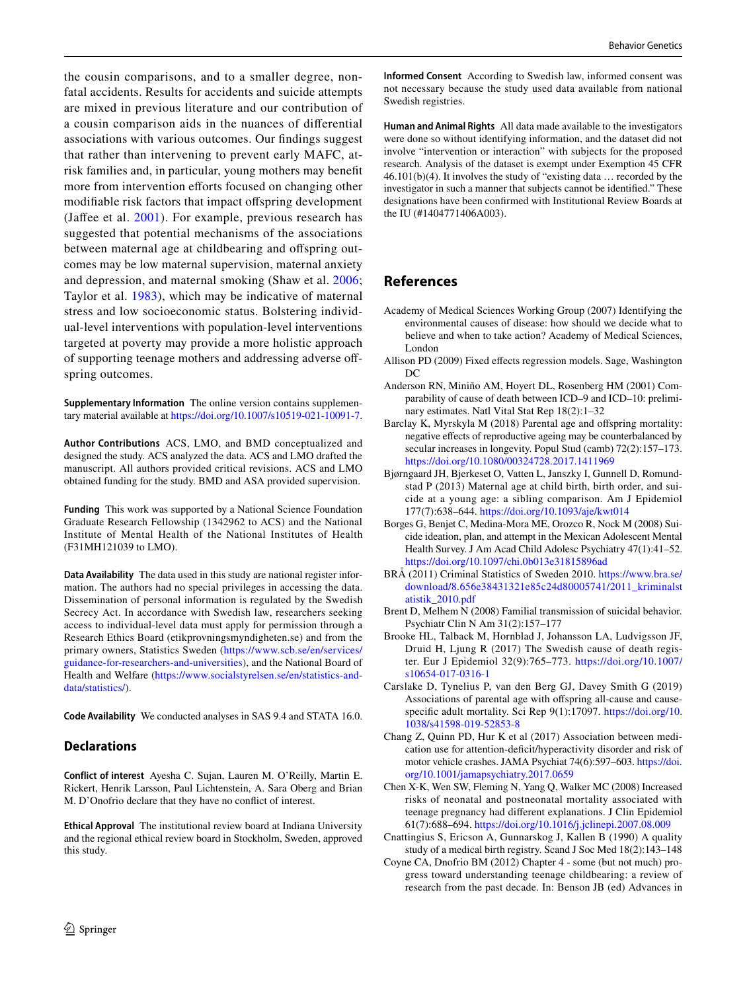the cousin comparisons, and to a smaller degree, nonfatal accidents. Results for accidents and suicide attempts are mixed in previous literature and our contribution of a cousin comparison aids in the nuances of differential associations with various outcomes. Our findings suggest that rather than intervening to prevent early MAFC, atrisk families and, in particular, young mothers may benefit more from intervention efforts focused on changing other modifiable risk factors that impact offspring development (Jaffee et al. [2001](#page-8-5)). For example, previous research has suggested that potential mechanisms of the associations between maternal age at childbearing and offspring outcomes may be low maternal supervision, maternal anxiety and depression, and maternal smoking (Shaw et al. [2006](#page-9-11); Taylor et al. [1983\)](#page-9-2), which may be indicative of maternal stress and low socioeconomic status. Bolstering individual-level interventions with population-level interventions targeted at poverty may provide a more holistic approach of supporting teenage mothers and addressing adverse offspring outcomes.

**Supplementary Information** The online version contains supplementary material available at https://doi.org/10.1007/s10519-021-10091-7.

**Author Contributions** ACS, LMO, and BMD conceptualized and designed the study. ACS analyzed the data. ACS and LMO drafted the manuscript. All authors provided critical revisions. ACS and LMO obtained funding for the study. BMD and ASA provided supervision.

**Funding** This work was supported by a National Science Foundation Graduate Research Fellowship (1342962 to ACS) and the National Institute of Mental Health of the National Institutes of Health (F31MH121039 to LMO).

**Data Availability** The data used in this study are national register information. The authors had no special privileges in accessing the data. Dissemination of personal information is regulated by the Swedish Secrecy Act. In accordance with Swedish law, researchers seeking access to individual-level data must apply for permission through a Research Ethics Board (etikprovningsmyndigheten.se) and from the primary owners, Statistics Sweden (https://www.scb.se/en/services/ guidance-for-researchers-and-universities), and the National Board of Health and Welfare (https://www.socialstyrelsen.se/en/statistics-anddata/statistics/).

**Code Availability** We conducted analyses in SAS 9.4 and STATA 16.0.

## **Declarations**

**Conflict of interest** Ayesha C. Sujan, Lauren M. O'Reilly, Martin E. Rickert, Henrik Larsson, Paul Lichtenstein, A. Sara Oberg and Brian M. D'Onofrio declare that they have no conflict of interest.

**Ethical Approval** The institutional review board at Indiana University and the regional ethical review board in Stockholm, Sweden, approved this study.

**Informed Consent** According to Swedish law, informed consent was not necessary because the study used data available from national Swedish registries.

**Human and Animal Rights** All data made available to the investigators were done so without identifying information, and the dataset did not involve "intervention or interaction" with subjects for the proposed research. Analysis of the dataset is exempt under Exemption 45 CFR 46.101(b)(4). It involves the study of "existing data … recorded by the investigator in such a manner that subjects cannot be identified." These designations have been confirmed with Institutional Review Boards at the IU (#1404771406A003).

# **References**

- <span id="page-7-2"></span>Academy of Medical Sciences Working Group (2007) Identifying the environmental causes of disease: how should we decide what to believe and when to take action? Academy of Medical Sciences, London
- <span id="page-7-12"></span>Allison PD (2009) Fixed effects regression models. Sage, Washington  $DC$
- <span id="page-7-9"></span>Anderson RN, Miniño AM, Hoyert DL, Rosenberg HM (2001) Comparability of cause of death between ICD–9 and ICD–10: preliminary estimates. Natl Vital Stat Rep 18(2):1–32
- <span id="page-7-3"></span>Barclay K, Myrskyla M (2018) Parental age and offspring mortality: negative effects of reproductive ageing may be counterbalanced by secular increases in longevity. Popul Stud (camb) 72(2):157–173. https://doi.org/10.1080/00324728.2017.1411969
- <span id="page-7-5"></span>Bjørngaard JH, Bjerkeset O, Vatten L, Janszky I, Gunnell D, Romundstad P (2013) Maternal age at child birth, birth order, and suicide at a young age: a sibling comparison. Am J Epidemiol 177(7):638-644. https://doi.org/10.1093/aje/kwt014
- <span id="page-7-11"></span>Borges G, Benjet C, Medina-Mora ME, Orozco R, Nock M (2008) Suicide ideation, plan, and attempt in the Mexican Adolescent Mental Health Survey. J Am Acad Child Adolesc Psychiatry 47(1):41–52. https://doi.org/10.1097/chi.0b013e31815896ad
- <span id="page-7-8"></span>BRÅ (2011) Criminal Statistics of Sweden 2010. https://www.bra.se/ download/8.656e38431321e85c24d80005741/2011\_kriminalst atistik\_2010.pdf
- <span id="page-7-1"></span>Brent D, Melhem N (2008) Familial transmission of suicidal behavior. Psychiatr Clin N Am 31(2):157–177
- <span id="page-7-7"></span>Brooke HL, Talback M, Hornblad J, Johansson LA, Ludvigsson JF, Druid H, Ljung R (2017) The Swedish cause of death register. Eur J Epidemiol 32(9):765–773. [https:// doi. org/ 10. 1007/](https://doi.org/10.1007/s10654-017-0316-1) s10654-017-0316-1
- <span id="page-7-4"></span>Carslake D, Tynelius P, van den Berg GJ, Davey Smith G (2019) Associations of parental age with offspring all-cause and causespecific adult mortality. Sci Rep 9(1):17097. https://doi.org/10. 1038/s41598-019-52853-8
- <span id="page-7-10"></span>Chang Z, Quinn PD, Hur K et al (2017) Association between medication use for attention-deficit/hyperactivity disorder and risk of motor vehicle crashes. JAMA Psychiat 74(6):597-603. https://doi. org/10.1001/jamapsychiatry.2017.0659
- <span id="page-7-13"></span>Chen X-K, Wen SW, Fleming N, Yang Q, Walker MC (2008) Increased risks of neonatal and postneonatal mortality associated with teenage pregnancy had different explanations. J Clin Epidemiol 61(7):688–694. [https:// doi. org/ 10. 1016/j. jclin epi. 2007. 08. 009](https://doi.org/10.1016/j.jclinepi.2007.08.009)
- <span id="page-7-6"></span>Cnattingius S, Ericson A, Gunnarskog J, Kallen B (1990) A quality study of a medical birth registry. Scand J Soc Med 18(2):143–148
- <span id="page-7-0"></span>Coyne CA, Dnofrio BM (2012) Chapter 4 - some (but not much) progress toward understanding teenage childbearing: a review of research from the past decade. In: Benson JB (ed) Advances in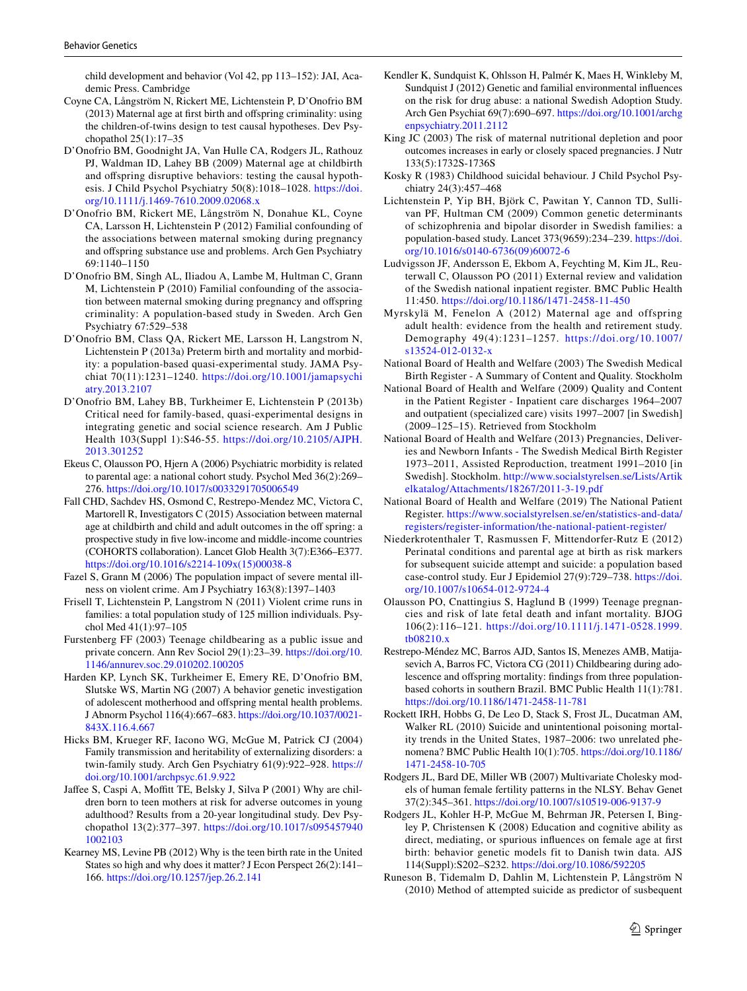child development and behavior (Vol 42, pp 113–152): JAI, Academic Press. Cambridge

- <span id="page-8-12"></span>Coyne CA, Långström N, Rickert ME, Lichtenstein P, D'Onofrio BM (2013) Maternal age at first birth and offspring criminality: using the children-of-twins design to test causal hypotheses. Dev Psychopathol 25(1):17–35
- <span id="page-8-11"></span>D'Onofrio BM, Goodnight JA, Van Hulle CA, Rodgers JL, Rathouz PJ, Waldman ID, Lahey BB (2009) Maternal age at childbirth and offspring disruptive behaviors: testing the causal hypothesis. J Child Psychol Psychiatry 50(8):1018-1028. https://doi. org/10.1111/j.1469-7610.2009.02068.x
- <span id="page-8-22"></span>D'Onofrio BM, Rickert ME, Långström N, Donahue KL, Coyne CA, Larsson H, Lichtenstein P (2012) Familial confounding of the associations between maternal smoking during pregnancy and offspring substance use and problems. Arch Gen Psychiatry 69:1140–1150
- <span id="page-8-25"></span>D'Onofrio BM, Singh AL, Iliadou A, Lambe M, Hultman C, Grann M, Lichtenstein P (2010) Familial confounding of the association between maternal smoking during pregnancy and offspring criminality: A population-based study in Sweden. Arch Gen Psychiatry 67:529–538
- <span id="page-8-2"></span>D'Onofrio BM, Class QA, Rickert ME, Larsson H, Langstrom N, Lichtenstein P (2013a) Preterm birth and mortality and morbidity: a population-based quasi-experimental study. JAMA Psychiat 70(11):1231-1240. https://doi.org/10.1001/jamapsychi [atry. 2013. 2107](https://doi.org/10.1001/jamapsychiatry.2013.2107)
- <span id="page-8-3"></span>D'Onofrio BM, Lahey BB, Turkheimer E, Lichtenstein P (2013b) Critical need for family-based, quasi-experimental designs in integrating genetic and social science research. Am J Public Health 103(Suppl 1):S46-55. https://doi.org/10.2105/AJPH. [2013. 301252](https://doi.org/10.2105/AJPH.2013.301252)
- <span id="page-8-7"></span>Ekeus C, Olausson PO, Hjern A (2006) Psychiatric morbidity is related to parental age: a national cohort study. Psychol Med 36(2):269– 276. https://doi.org/10.1017/s0033291705006549
- <span id="page-8-4"></span>Fall CHD, Sachdev HS, Osmond C, Restrepo-Mendez MC, Victora C, Martorell R, Investigators C (2015) Association between maternal age at childbirth and child and adult outcomes in the off spring: a prospective study in five low-income and middle-income countries (COHORTS collaboration). Lancet Glob Health 3(7):E366–E377. https://doi.org/10.1016/s2214-109x(15)00038-8
- <span id="page-8-18"></span>Fazel S, Grann M (2006) The population impact of severe mental illness on violent crime. Am J Psychiatry 163(8):1397–1403
- <span id="page-8-26"></span>Frisell T, Lichtenstein P, Langstrom N (2011) Violent crime runs in families: a total population study of 125 million individuals. Psychol Med 41(1):97–105
- <span id="page-8-0"></span>Furstenberg FF (2003) Teenage childbearing as a public issue and private concern. Ann Rev Sociol 29(1):23-39. https://doi.org/10. 1146/ annur ev. soc. 29.010202.100205
- <span id="page-8-10"></span>Harden KP, Lynch SK, Turkheimer E, Emery RE, D'Onofrio BM, Slutske WS, Martin NG (2007) A behavior genetic investigation of adolescent motherhood and offspring mental health problems. J Abnorm Psychol 116(4):667–683. https://doi.org/10.1037/0021-[843X. 116.4. 667](https://doi.org/10.1037/0021-843X.116.4.667)
- <span id="page-8-31"></span>Hicks BM, Krueger RF, Iacono WG, McGue M, Patrick CJ (2004) Family transmission and heritability of externalizing disorders: a twin-family study. Arch Gen Psychiatry 61(9):922–928. [https://](https://doi.org/10.1001/archpsyc.61.9.922) doi.org/10.1001/archpsyc.61.9.922
- <span id="page-8-5"></span>Jaffee S, Caspi A, Moffitt TE, Belsky J, Silva P (2001) Why are children born to teen mothers at risk for adverse outcomes in young adulthood? Results from a 20-year longitudinal study. Dev Psychopathol 13(2):377-397. https://doi.org/10.1017/s095457940 1002103
- <span id="page-8-29"></span>Kearney MS, Levine PB (2012) Why is the teen birth rate in the United States so high and why does it matter? J Econ Perspect 26(2):141– 166. [https:// doi. org/ 10. 1257/ jep. 26.2. 141](https://doi.org/10.1257/jep.26.2.141)
- <span id="page-8-23"></span>Kendler K, Sundquist K, Ohlsson H, Palmér K, Maes H, Winkleby M, Sundquist J (2012) Genetic and familial environmental influences on the risk for drug abuse: a national Swedish Adoption Study. Arch Gen Psychiat 69(7):690–697. https://doi.org/10.1001/archg enpsychiatry. 2011. 2112
- <span id="page-8-1"></span>King JC (2003) The risk of maternal nutritional depletion and poor outcomes increases in early or closely spaced pregnancies. J Nutr 133(5):1732S-1736S
- <span id="page-8-21"></span>Kosky R (1983) Childhood suicidal behaviour. J Child Psychol Psychiatry 24(3):457–468
- <span id="page-8-24"></span>Lichtenstein P, Yip BH, Björk C, Pawitan Y, Cannon TD, Sullivan PF, Hultman CM (2009) Common genetic determinants of schizophrenia and bipolar disorder in Swedish families: a population-based study. Lancet 373(9659):234-239. https://doi. org/10.1016/s0140-6736(09)60072-6
- <span id="page-8-15"></span>Ludvigsson JF, Andersson E, Ekbom A, Feychting M, Kim JL, Reuterwall C, Olausson PO (2011) External review and validation of the Swedish national inpatient register. BMC Public Health 11:450. [https:// doi. org/ 10. 1186/ 1471- 2458- 11- 450](https://doi.org/10.1186/1471-2458-11-450)
- <span id="page-8-8"></span>Myrskylä M, Fenelon A (2012) Maternal age and offspring adult health: evidence from the health and retirement study. Demography 49(4):1231–1257. [https:// doi. org/ 10. 1007/](https://doi.org/10.1007/s13524-012-0132-x) s13524-012-0132-x
- <span id="page-8-13"></span>National Board of Health and Welfare (2003) The Swedish Medical Birth Register - A Summary of Content and Quality. Stockholm
- <span id="page-8-16"></span>National Board of Health and Welfare (2009) Quality and Content in the Patient Register - Inpatient care discharges 1964–2007 and outpatient (specialized care) visits 1997–2007 [in Swedish] (2009–125–15). Retrieved from Stockholm
- <span id="page-8-14"></span>National Board of Health and Welfare (2013) Pregnancies, Deliveries and Newborn Infants - The Swedish Medical Birth Register 1973–2011, Assisted Reproduction, treatment 1991–2010 [in Swedish]. Stockholm. http://www.socialstyrelsen.se/Lists/Artik elkatalog/Attachments/18267/2011-3-19.pdf
- <span id="page-8-17"></span>National Board of Health and Welfare (2019) The National Patient Register. https://www.socialstyrelsen.se/en/statistics-and-data/ registers/register-information/the-national-patient-register/
- <span id="page-8-9"></span>Niederkrotenthaler T, Rasmussen F, Mittendorfer-Rutz E (2012) Perinatal conditions and parental age at birth as risk markers for subsequent suicide attempt and suicide: a population based case-control study. Eur J Epidemiol 27(9):729-738. https://doi. org/10.1007/s10654-012-9724-4
- <span id="page-8-27"></span>Olausson PO, Cnattingius S, Haglund B (1999) Teenage pregnancies and risk of late fetal death and infant mortality. BJOG 106(2):116–121. [https:// doi. org/ 10. 1111/j. 1471- 0528. 1999.](https://doi.org/10.1111/j.1471-0528.1999.tb08210.x) tb08210.x
- <span id="page-8-28"></span>Restrepo-Méndez MC, Barros AJD, Santos IS, Menezes AMB, Matijasevich A, Barros FC, Victora CG (2011) Childbearing during adolescence and offspring mortality: findings from three populationbased cohorts in southern Brazil. BMC Public Health 11(1):781. https://doi.org/10.1186/1471-2458-11-781
- <span id="page-8-19"></span>Rockett IRH, Hobbs G, De Leo D, Stack S, Frost JL, Ducatman AM, Walker RL (2010) Suicide and unintentional poisoning mortality trends in the United States, 1987–2006: two unrelated phenomena? BMC Public Health 10(1):705. https://doi.org/10.1186/ 1471-2458-10-705
- <span id="page-8-6"></span>Rodgers JL, Bard DE, Miller WB (2007) Multivariate Cholesky models of human female fertility patterns in the NLSY. Behav Genet 37(2):345-361. https://doi.org/10.1007/s10519-006-9137-9
- <span id="page-8-30"></span>Rodgers JL, Kohler H-P, McGue M, Behrman JR, Petersen I, Bingley P, Christensen K (2008) Education and cognitive ability as direct, mediating, or spurious influences on female age at first birth: behavior genetic models fit to Danish twin data. AJS 114(Suppl):S202-S232. https://doi.org/10.1086/592205
- <span id="page-8-20"></span>Runeson B, Tidemalm D, Dahlin M, Lichtenstein P, Långström N (2010) Method of attempted suicide as predictor of susbequent